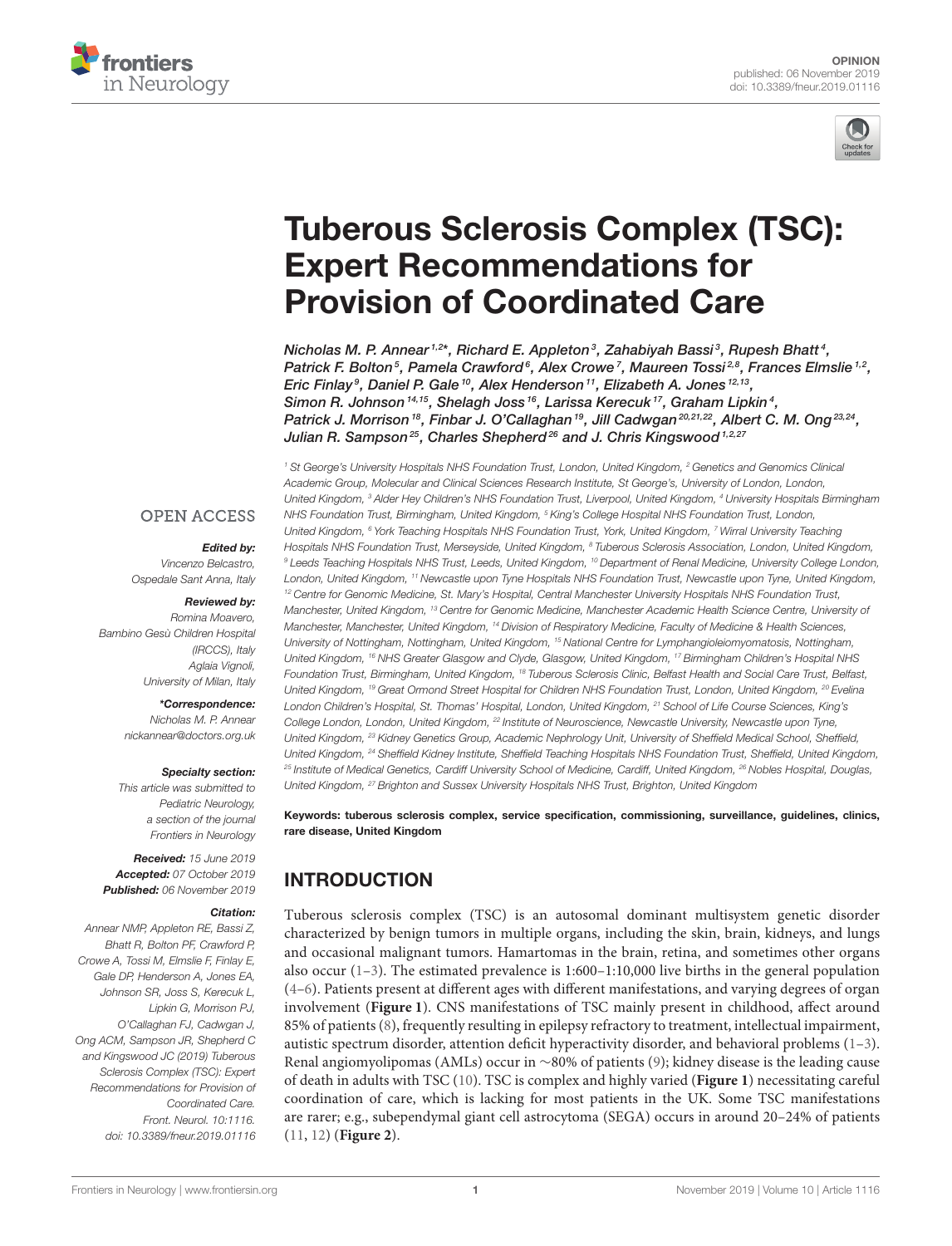



# [Tuberous Sclerosis Complex \(TSC\):](https://www.frontiersin.org/articles/10.3389/fneur.2019.01116/full) Expert Recommendations for Provision of Coordinated Care

[Nicholas M. P. Annear](http://loop.frontiersin.org/people/755646/overview) $^{1,2\star}$ , Richard E. Appleton $^3$ , [Zahabiyah Bassi](http://loop.frontiersin.org/people/772673/overview) $^3$ , Rupesh Bhatt $^4$ , Patrick F. Bolton<sup>5</sup>, Pamela Crawford<sup>6</sup>, Alex Crowe<sup>7</sup>, [Maureen Tossi](http://loop.frontiersin.org/people/756813/overview)<sup>28</sup>, [Frances Elmslie](http://loop.frontiersin.org/people/797530/overview)<sup>1,2</sup>, Eric Finlay<sup>9</sup>, Daniel P. Gale<sup>10</sup>, Alex Henderson<sup>11</sup>, Elizabeth A. Jones<sup>12,13</sup>, Simon R. Johnson <sup>14,15</sup>, Shelagh Joss <sup>16</sup>, Larissa Kerecuk <sup>17</sup>, Graham Lipkin<sup>4</sup>, Patrick J. Morrison<sup>18</sup>, [Finbar J. O'Callaghan](http://loop.frontiersin.org/people/760943/overview)<sup>19</sup>, [Jill Cadwgan](http://loop.frontiersin.org/people/549332/overview)<sup>20,21,22</sup>, [Albert C. M. Ong](http://loop.frontiersin.org/people/256392/overview)<sup>23,24</sup>, Julian R. Sampson<sup>25</sup>, Charles Shepherd<sup>26</sup> and [J. Chris Kingswood](http://loop.frontiersin.org/people/761047/overview)<sup>1,2,27</sup>

#### **OPEN ACCESS**

#### Edited by:

Vincenzo Belcastro, Ospedale Sant Anna, Italy

#### Reviewed by:

Romina Moavero, Bambino Gesù Children Hospital (IRCCS), Italy Aglaia Vignoli University of Milan, Italy

#### \*Correspondence:

Nicholas M. P. Annear [nickannear@doctors.org.uk](mailto:nickannear@doctors.org.uk)

#### Specialty section:

This article was submitted to Pediatric Neurology, a section of the journal Frontiers in Neurology

Received: 15 June 2019 Accepted: 07 October 2019 Published: 06 November 2019

#### Citation:

Annear NMP, Appleton RE, Bassi Z, Bhatt R, Bolton PF, Crawford P, Crowe A, Tossi M, Elmslie F, Finlay E, Gale DP, Henderson A, Jones EA, Johnson SR, Joss S, Kerecuk L, Lipkin G, Morrison PJ, O'Callaghan FJ, Cadwgan J, Ong ACM, Sampson JR, Shepherd C and Kingswood JC (2019) Tuberous Sclerosis Complex (TSC): Expert Recommendations for Provision of Coordinated Care. Front. Neurol. 10:1116. doi: [10.3389/fneur.2019.01116](https://doi.org/10.3389/fneur.2019.01116)

<sup>1</sup> St George's University Hospitals NHS Foundation Trust, London, United Kingdom, <sup>2</sup> Genetics and Genomics Clinical Academic Group, Molecular and Clinical Sciences Research Institute, St George's, University of London, London, United Kingdom, <sup>3</sup> Alder Hey Children's NHS Foundation Trust, Liverpool, United Kingdom, <sup>4</sup> University Hospitals Birmingham NHS Foundation Trust, Birmingham, United Kingdom, <sup>5</sup> King's College Hospital NHS Foundation Trust, London, United Kingdom, <sup>6</sup> York Teaching Hospitals NHS Foundation Trust, York, United Kingdom, <sup>7</sup> Wirral University Teaching Hospitals NHS Foundation Trust, Merseyside, United Kingdom, <sup>8</sup> Tuberous Sclerosis Association, London, United Kingdom, <sup>9</sup> Leeds Teaching Hospitals NHS Trust, Leeds, United Kingdom, <sup>10</sup> Department of Renal Medicine, University College London, London, United Kingdom, <sup>11</sup> Newcastle upon Tyne Hospitals NHS Foundation Trust, Newcastle upon Tyne, United Kingdom, <sup>12</sup> Centre for Genomic Medicine, St. Mary's Hospital, Central Manchester University Hospitals NHS Foundation Trust, Manchester, United Kingdom, <sup>13</sup> Centre for Genomic Medicine, Manchester Academic Health Science Centre, University of Manchester, Manchester, United Kingdom, <sup>14</sup> Division of Respiratory Medicine, Faculty of Medicine & Health Sciences, University of Nottingham, Nottingham, United Kingdom, <sup>15</sup> National Centre for Lymphangioleiomyomatosis, Nottingham, United Kingdom, <sup>16</sup> NHS Greater Glasgow and Clyde, Glasgow, United Kingdom, <sup>17</sup> Birmingham Children's Hospital NHS Foundation Trust, Birmingham, United Kingdom, <sup>18</sup> Tuberous Sclerosis Clinic, Belfast Health and Social Care Trust, Belfast, United Kingdom, <sup>19</sup> Great Ormond Street Hospital for Children NHS Foundation Trust, London, United Kingdom, <sup>20</sup> Evelina London Children's Hospital, St. Thomas' Hospital, London, United Kingdom, <sup>21</sup> School of Life Course Sciences, King's College London, London, United Kingdom, <sup>22</sup> Institute of Neuroscience, Newcastle University, Newcastle upon Tyne, United Kingdom, <sup>23</sup> Kidney Genetics Group, Academic Nephrology Unit, University of Sheffield Medical School, Sheffield, United Kingdom, <sup>24</sup> Sheffield Kidney Institute, Sheffield Teaching Hospitals NHS Foundation Trust, Sheffield, United Kingdom, <sup>25</sup> Institute of Medical Genetics, Cardiff University School of Medicine, Cardiff, United Kingdom, <sup>26</sup> Nobles Hospital, Douglas, United Kingdom, <sup>27</sup> Brighton and Sussex University Hospitals NHS Trust, Brighton, United Kingdom

Keywords: tuberous sclerosis complex, service specification, commissioning, surveillance, guidelines, clinics, rare disease, United Kingdom

## INTRODUCTION

Tuberous sclerosis complex (TSC) is an autosomal dominant multisystem genetic disorder characterized by benign tumors in multiple organs, including the skin, brain, kidneys, and lungs and occasional malignant tumors. Hamartomas in the brain, retina, and sometimes other organs also occur  $(1-3)$ . The estimated prevalence is 1:600-1:10,000 live births in the general population [\(4–](#page-7-2)[6\)](#page-7-3). Patients present at different ages with different manifestations, and varying degrees of organ involvement (**[Figure 1](#page-1-0)**). CNS manifestations of TSC mainly present in childhood, affect around 85% of patients [\(8\)](#page-7-4), frequently resulting in epilepsy refractory to treatment, intellectual impairment, autistic spectrum disorder, attention deficit hyperactivity disorder, and behavioral problems [\(1](#page-7-0)[–3\)](#page-7-1). Renal angiomyolipomas (AMLs) occur in ∼80% of patients [\(9\)](#page-7-5); kidney disease is the leading cause of death in adults with TSC [\(10\)](#page-7-6). TSC is complex and highly varied (**[Figure 1](#page-1-0)**) necessitating careful coordination of care, which is lacking for most patients in the UK. Some TSC manifestations are rarer; e.g., subependymal giant cell astrocytoma (SEGA) occurs in around 20–24% of patients [\(11,](#page-7-7) [12\)](#page-7-8) (**[Figure 2](#page-2-0)**).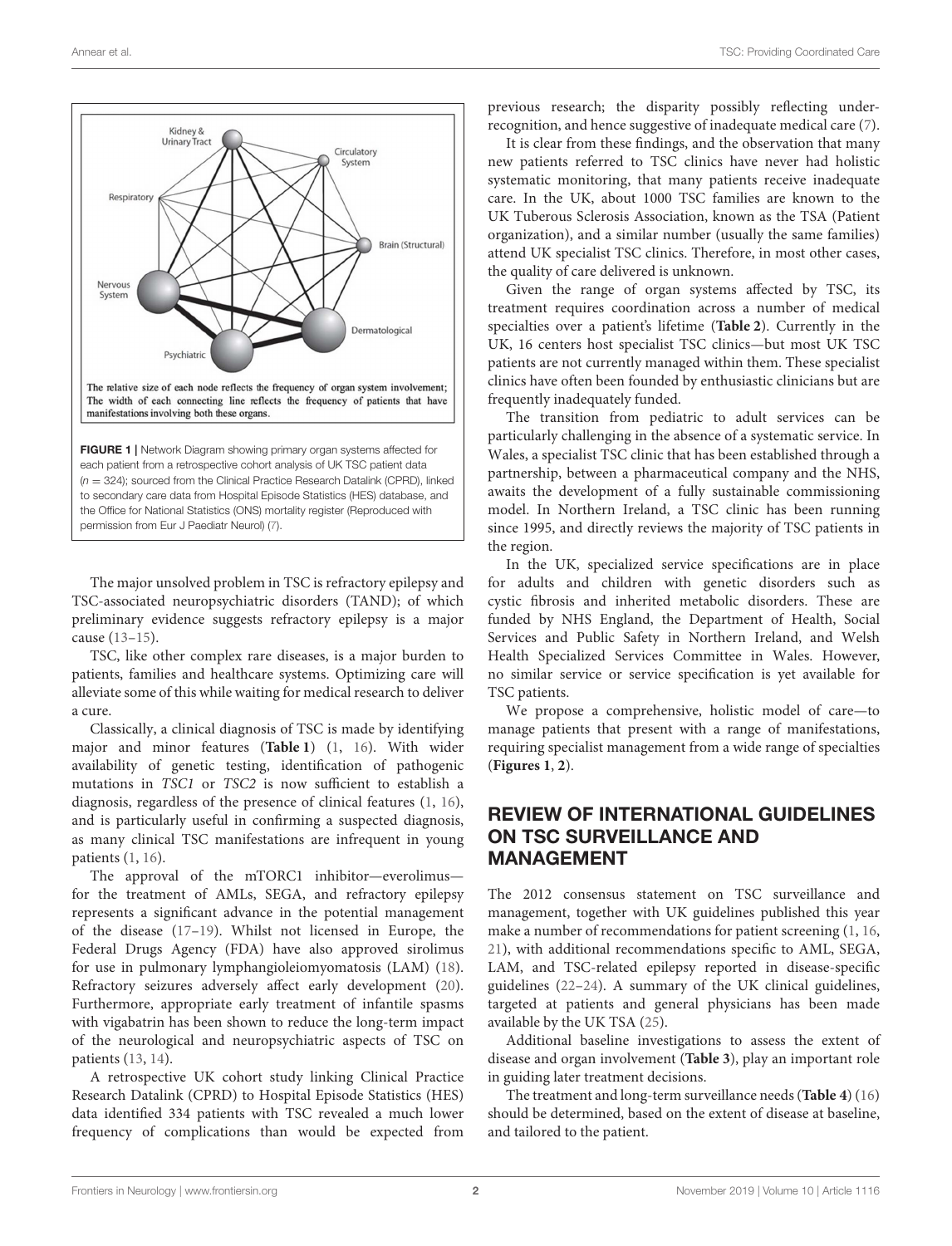

<span id="page-1-0"></span>The major unsolved problem in TSC is refractory epilepsy and TSC-associated neuropsychiatric disorders (TAND); of which preliminary evidence suggests refractory epilepsy is a major cause [\(13](#page-7-10)[–15\)](#page-7-11).

TSC, like other complex rare diseases, is a major burden to patients, families and healthcare systems. Optimizing care will alleviate some of this while waiting for medical research to deliver a cure.

Classically, a clinical diagnosis of TSC is made by identifying major and minor features (**[Table 1](#page-3-0)**) [\(1,](#page-7-0) [16\)](#page-7-12). With wider availability of genetic testing, identification of pathogenic mutations in TSC1 or TSC2 is now sufficient to establish a diagnosis, regardless of the presence of clinical features [\(1,](#page-7-0) [16\)](#page-7-12), and is particularly useful in confirming a suspected diagnosis, as many clinical TSC manifestations are infrequent in young patients [\(1,](#page-7-0) [16\)](#page-7-12).

The approval of the mTORC1 inhibitor—everolimus for the treatment of AMLs, SEGA, and refractory epilepsy represents a significant advance in the potential management of the disease [\(17–](#page-7-13)[19\)](#page-7-14). Whilst not licensed in Europe, the Federal Drugs Agency (FDA) have also approved sirolimus for use in pulmonary lymphangioleiomyomatosis (LAM) [\(18\)](#page-7-15). Refractory seizures adversely affect early development [\(20\)](#page-7-16). Furthermore, appropriate early treatment of infantile spasms with vigabatrin has been shown to reduce the long-term impact of the neurological and neuropsychiatric aspects of TSC on patients [\(13,](#page-7-10) [14\)](#page-7-17).

A retrospective UK cohort study linking Clinical Practice Research Datalink (CPRD) to Hospital Episode Statistics (HES) data identified 334 patients with TSC revealed a much lower frequency of complications than would be expected from previous research; the disparity possibly reflecting underrecognition, and hence suggestive of inadequate medical care [\(7\)](#page-7-9).

It is clear from these findings, and the observation that many new patients referred to TSC clinics have never had holistic systematic monitoring, that many patients receive inadequate care. In the UK, about 1000 TSC families are known to the UK Tuberous Sclerosis Association, known as the TSA (Patient organization), and a similar number (usually the same families) attend UK specialist TSC clinics. Therefore, in most other cases, the quality of care delivered is unknown.

Given the range of organ systems affected by TSC, its treatment requires coordination across a number of medical specialties over a patient's lifetime (**[Table 2](#page-3-1)**). Currently in the UK, 16 centers host specialist TSC clinics—but most UK TSC patients are not currently managed within them. These specialist clinics have often been founded by enthusiastic clinicians but are frequently inadequately funded.

The transition from pediatric to adult services can be particularly challenging in the absence of a systematic service. In Wales, a specialist TSC clinic that has been established through a partnership, between a pharmaceutical company and the NHS, awaits the development of a fully sustainable commissioning model. In Northern Ireland, a TSC clinic has been running since 1995, and directly reviews the majority of TSC patients in the region.

In the UK, specialized service specifications are in place for adults and children with genetic disorders such as cystic fibrosis and inherited metabolic disorders. These are funded by NHS England, the Department of Health, Social Services and Public Safety in Northern Ireland, and Welsh Health Specialized Services Committee in Wales. However, no similar service or service specification is yet available for TSC patients.

We propose a comprehensive, holistic model of care—to manage patients that present with a range of manifestations, requiring specialist management from a wide range of specialties (**[Figures 1](#page-1-0)**, **[2](#page-2-0)**).

## REVIEW OF INTERNATIONAL GUIDELINES ON TSC SURVEILLANCE AND MANAGEMENT

The 2012 consensus statement on TSC surveillance and management, together with UK guidelines published this year make a number of recommendations for patient screening [\(1,](#page-7-0) [16,](#page-7-12) [21\)](#page-7-18), with additional recommendations specific to AML, SEGA, LAM, and TSC-related epilepsy reported in disease-specific guidelines [\(22–](#page-7-19)[24\)](#page-8-0). A summary of the UK clinical guidelines, targeted at patients and general physicians has been made available by the UK TSA [\(25\)](#page-8-1).

Additional baseline investigations to assess the extent of disease and organ involvement (**[Table 3](#page-3-2)**), play an important role in guiding later treatment decisions.

The treatment and long-term surveillance needs (**[Table 4](#page-4-0)**) [\(16\)](#page-7-12) should be determined, based on the extent of disease at baseline, and tailored to the patient.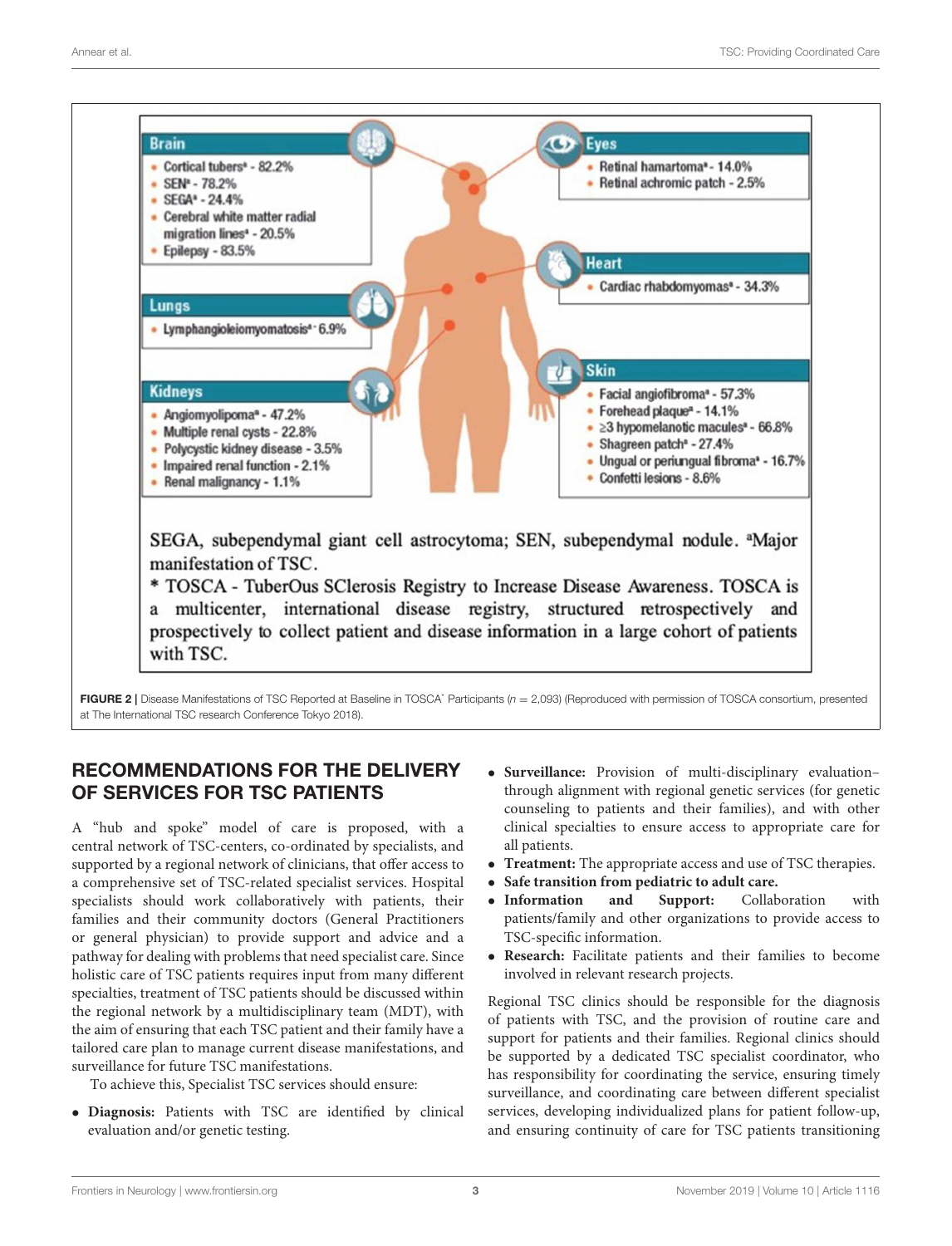

<span id="page-2-0"></span>FIGURE 2 | Disease Manifestations of TSC Reported at Baseline in TOSCA<sup>\*</sup> Participants ( $n = 2,093$ ) (Reproduced with permission of TOSCA consortium, presented at The International TSC research Conference Tokyo 2018).

## RECOMMENDATIONS FOR THE DELIVERY OF SERVICES FOR TSC PATIENTS

A "hub and spoke" model of care is proposed, with a central network of TSC-centers, co-ordinated by specialists, and supported by a regional network of clinicians, that offer access to a comprehensive set of TSC-related specialist services. Hospital specialists should work collaboratively with patients, their families and their community doctors (General Practitioners or general physician) to provide support and advice and a pathway for dealing with problems that need specialist care. Since holistic care of TSC patients requires input from many different specialties, treatment of TSC patients should be discussed within the regional network by a multidisciplinary team (MDT), with the aim of ensuring that each TSC patient and their family have a tailored care plan to manage current disease manifestations, and surveillance for future TSC manifestations.

To achieve this, Specialist TSC services should ensure:

• **Diagnosis:** Patients with TSC are identified by clinical evaluation and/or genetic testing.

- **Surveillance:** Provision of multi-disciplinary evaluation– through alignment with regional genetic services (for genetic counseling to patients and their families), and with other clinical specialties to ensure access to appropriate care for all patients.
- **Treatment:** The appropriate access and use of TSC therapies.
- **Safe transition from pediatric to adult care.**
- **Information and Support:** Collaboration with patients/family and other organizations to provide access to TSC-specific information.
- **Research:** Facilitate patients and their families to become involved in relevant research projects.

Regional TSC clinics should be responsible for the diagnosis of patients with TSC, and the provision of routine care and support for patients and their families. Regional clinics should be supported by a dedicated TSC specialist coordinator, who has responsibility for coordinating the service, ensuring timely surveillance, and coordinating care between different specialist services, developing individualized plans for patient follow-up, and ensuring continuity of care for TSC patients transitioning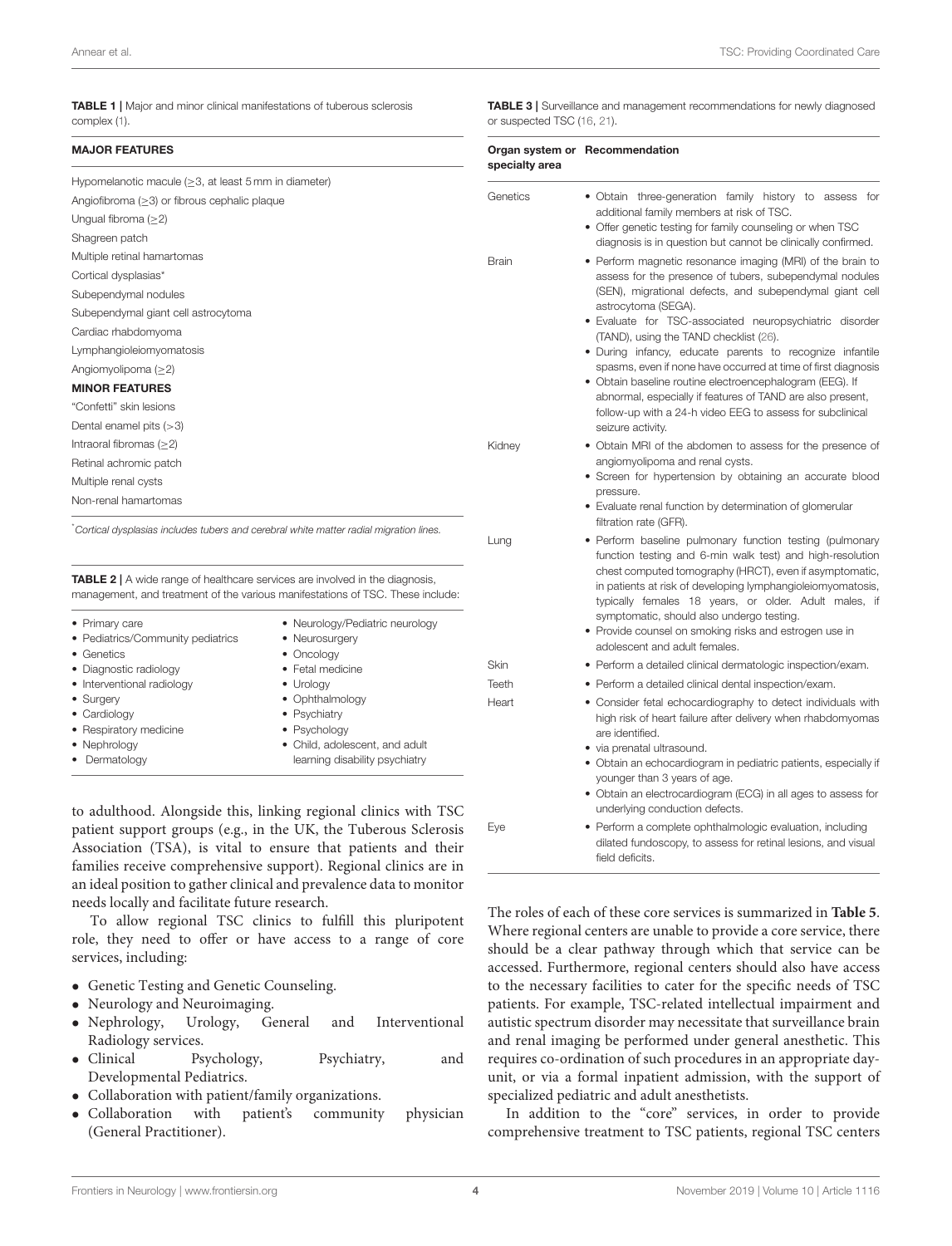<span id="page-3-0"></span>TABLE 1 | Major and minor clinical manifestations of tuberous sclerosis complex [\(1\)](#page-7-0).

#### MAJOR FEATURES

| <b>MAJOR FEATURES</b>                                                                 |                                                                                                                     | specialty area | Organ system or Recommendation                                                                                                                                                                                                                                                            |  |
|---------------------------------------------------------------------------------------|---------------------------------------------------------------------------------------------------------------------|----------------|-------------------------------------------------------------------------------------------------------------------------------------------------------------------------------------------------------------------------------------------------------------------------------------------|--|
| Hypomelanotic macule ( $\geq$ 3, at least 5 mm in diameter)                           |                                                                                                                     |                |                                                                                                                                                                                                                                                                                           |  |
| Angiofibroma $(\geq 3)$ or fibrous cephalic plaque                                    |                                                                                                                     | Genetics       | • Obtain three-generation family history to assess for                                                                                                                                                                                                                                    |  |
| Ungual fibroma $(\geq 2)$                                                             |                                                                                                                     |                | additional family members at risk of TSC.<br>• Offer genetic testing for family counseling or when TSC                                                                                                                                                                                    |  |
| Shagreen patch                                                                        |                                                                                                                     |                | diagnosis is in question but cannot be clinically confirmed.                                                                                                                                                                                                                              |  |
| Multiple retinal hamartomas                                                           |                                                                                                                     | <b>Brain</b>   | • Perform magnetic resonance imaging (MRI) of the brain to                                                                                                                                                                                                                                |  |
| Cortical dysplasias*                                                                  |                                                                                                                     |                | assess for the presence of tubers, subependymal nodules                                                                                                                                                                                                                                   |  |
| Subependymal nodules                                                                  |                                                                                                                     |                | (SEN), migrational defects, and subependymal giant cell                                                                                                                                                                                                                                   |  |
| Subependymal giant cell astrocytoma                                                   |                                                                                                                     |                | astrocytoma (SEGA).<br>· Evaluate for TSC-associated neuropsychiatric disorder                                                                                                                                                                                                            |  |
| Cardiac rhabdomyoma                                                                   |                                                                                                                     |                | (TAND), using the TAND checklist (26).                                                                                                                                                                                                                                                    |  |
| Lymphangioleiomyomatosis                                                              |                                                                                                                     |                | · During infancy, educate parents to recognize infantile                                                                                                                                                                                                                                  |  |
| Angiomyolipoma $(\geq 2)$                                                             |                                                                                                                     |                | spasms, even if none have occurred at time of first diagnosis                                                                                                                                                                                                                             |  |
| <b>MINOR FEATURES</b>                                                                 |                                                                                                                     |                | • Obtain baseline routine electroencephalogram (EEG). If<br>abnormal, especially if features of TAND are also present,                                                                                                                                                                    |  |
| "Confetti" skin lesions                                                               |                                                                                                                     |                | follow-up with a 24-h video EEG to assess for subclinical                                                                                                                                                                                                                                 |  |
| Dental enamel pits $($ $>$ 3)                                                         |                                                                                                                     |                | seizure activity.                                                                                                                                                                                                                                                                         |  |
| Intraoral fibromas $(\geq 2)$                                                         |                                                                                                                     | Kidney         | • Obtain MRI of the abdomen to assess for the presence of                                                                                                                                                                                                                                 |  |
| Retinal achromic patch                                                                |                                                                                                                     |                | angiomyolipoma and renal cysts.                                                                                                                                                                                                                                                           |  |
| Multiple renal cysts                                                                  |                                                                                                                     |                | · Screen for hypertension by obtaining an accurate blood                                                                                                                                                                                                                                  |  |
| Non-renal hamartomas                                                                  |                                                                                                                     |                | pressure.<br>• Evaluate renal function by determination of glomerular                                                                                                                                                                                                                     |  |
|                                                                                       |                                                                                                                     |                | filtration rate (GFR).                                                                                                                                                                                                                                                                    |  |
| Cortical dysplasias includes tubers and cerebral white matter radial migration lines. |                                                                                                                     | Lung           | • Perform baseline pulmonary function testing (pulmonary                                                                                                                                                                                                                                  |  |
| <b>TABLE 2</b>   A wide range of healthcare services are involved in the diagnosis,   | management, and treatment of the various manifestations of TSC. These include:                                      |                | function testing and 6-min walk test) and high-resolution<br>chest computed tomography (HRCT), even if asymptomatic,<br>in patients at risk of developing lymphangioleiomyomatosis,<br>typically females 18 years, or older. Adult males, if<br>symptomatic, should also undergo testing. |  |
| • Primary care                                                                        | • Neurology/Pediatric neurology                                                                                     |                | • Provide counsel on smoking risks and estrogen use in                                                                                                                                                                                                                                    |  |
| • Pediatrics/Community pediatrics<br>• Genetics                                       | • Neurosurgery<br>• Oncology                                                                                        |                | adolescent and adult females.                                                                                                                                                                                                                                                             |  |
| • Diagnostic radiology                                                                | • Fetal medicine                                                                                                    | Skin           | • Perform a detailed clinical dermatologic inspection/exam.                                                                                                                                                                                                                               |  |
| • Interventional radiology                                                            | • Urology                                                                                                           | Teeth          | • Perform a detailed clinical dental inspection/exam.                                                                                                                                                                                                                                     |  |
| • Surgery<br>• Cardiology<br>• Respiratory medicine<br>• Nephrology<br>• Dermatology  | • Ophthalmology<br>• Psychiatry<br>• Psychology<br>• Child, adolescent, and adult<br>learning disability psychiatry | Heart          | • Consider fetal echocardiography to detect individuals with<br>high risk of heart failure after delivery when rhabdomyomas<br>are identified.<br>• via prenatal ultrasound.                                                                                                              |  |
|                                                                                       |                                                                                                                     |                | • Obtain an echocardiogram in pediatric patients, especially if                                                                                                                                                                                                                           |  |

<span id="page-3-1"></span>to adulthood. Alongside this, linking regional clinics with TSC patient support groups (e.g., in the UK, the Tuberous Sclerosis Association (TSA), is vital to ensure that patients and their families receive comprehensive support). Regional clinics are in an ideal position to gather clinical and prevalence data to monitor needs locally and facilitate future research.

To allow regional TSC clinics to fulfill this pluripotent role, they need to offer or have access to a range of core services, including:

- Genetic Testing and Genetic Counseling.
- Neurology and Neuroimaging.
- Nephrology, Urology, General and Interventional Radiology services.
- Clinical Psychology, Psychiatry, and Developmental Pediatrics.
- Collaboration with patient/family organizations.
- Collaboration with patient's community physician (General Practitioner).

<span id="page-3-2"></span>TABLE 3 | Surveillance and management recommendations for newly diagnosed or suspected TSC [\(16,](#page-7-12) [21\)](#page-7-18).

|              | • Offer genetic testing for family counseling or when TSC<br>diagnosis is in question but cannot be clinically confirmed.                                                                                                                                                                                                                                                                                                                                                                                                                                                                                                                             |
|--------------|-------------------------------------------------------------------------------------------------------------------------------------------------------------------------------------------------------------------------------------------------------------------------------------------------------------------------------------------------------------------------------------------------------------------------------------------------------------------------------------------------------------------------------------------------------------------------------------------------------------------------------------------------------|
| <b>Brain</b> | • Perform magnetic resonance imaging (MRI) of the brain to<br>assess for the presence of tubers, subependymal nodules<br>(SEN), migrational defects, and subependymal giant cell<br>astrocytoma (SEGA).<br>· Evaluate for TSC-associated neuropsychiatric disorder<br>(TAND), using the TAND checklist (26).<br>· During infancy, educate parents to recognize infantile<br>spasms, even if none have occurred at time of first diagnosis<br>• Obtain baseline routine electroencephalogram (EEG). If<br>abnormal, especially if features of TAND are also present,<br>follow-up with a 24-h video EEG to assess for subclinical<br>seizure activity. |
| Kidney       | • Obtain MRI of the abdomen to assess for the presence of<br>angiomyolipoma and renal cysts.<br>• Screen for hypertension by obtaining an accurate blood<br>pressure.                                                                                                                                                                                                                                                                                                                                                                                                                                                                                 |
|              | • Evaluate renal function by determination of glomerular<br>filtration rate (GFR).                                                                                                                                                                                                                                                                                                                                                                                                                                                                                                                                                                    |
| Lung         | • Perform baseline pulmonary function testing (pulmonary<br>function testing and 6-min walk test) and high-resolution<br>chest computed tomography (HRCT), even if asymptomatic,<br>in patients at risk of developing lymphangioleiomyomatosis,<br>typically females 18 years, or older. Adult males, if<br>symptomatic, should also undergo testing.<br>• Provide counsel on smoking risks and estrogen use in<br>adolescent and adult females.                                                                                                                                                                                                      |
| Skin         | • Perform a detailed clinical dermatologic inspection/exam.                                                                                                                                                                                                                                                                                                                                                                                                                                                                                                                                                                                           |
| Teeth        | • Perform a detailed clinical dental inspection/exam.                                                                                                                                                                                                                                                                                                                                                                                                                                                                                                                                                                                                 |
| Heart        | • Consider fetal echocardiography to detect individuals with<br>high risk of heart failure after delivery when rhabdomyomas<br>are identified.<br>· via prenatal ultrasound.                                                                                                                                                                                                                                                                                                                                                                                                                                                                          |
|              | • Obtain an echocardiogram in pediatric patients, especially if<br>younger than 3 years of age.<br>• Obtain an electrocardiogram (ECG) in all ages to assess for<br>underlying conduction defects.                                                                                                                                                                                                                                                                                                                                                                                                                                                    |
| Eye          | • Perform a complete ophthalmologic evaluation, including<br>dilated fundoscopy, to assess for retinal lesions, and visual<br>field deficits.                                                                                                                                                                                                                                                                                                                                                                                                                                                                                                         |

should be a clear pathway through which that service can be accessed. Furthermore, regional centers should also have access to the necessary facilities to cater for the specific needs of TSC patients. For example, TSC-related intellectual impairment and autistic spectrum disorder may necessitate that surveillance brain and renal imaging be performed under general anesthetic. This requires co-ordination of such procedures in an appropriate dayunit, or via a formal inpatient admission, with the support of specialized pediatric and adult anesthetists.

In addition to the "core" services, in order to provide comprehensive treatment to TSC patients, regional TSC centers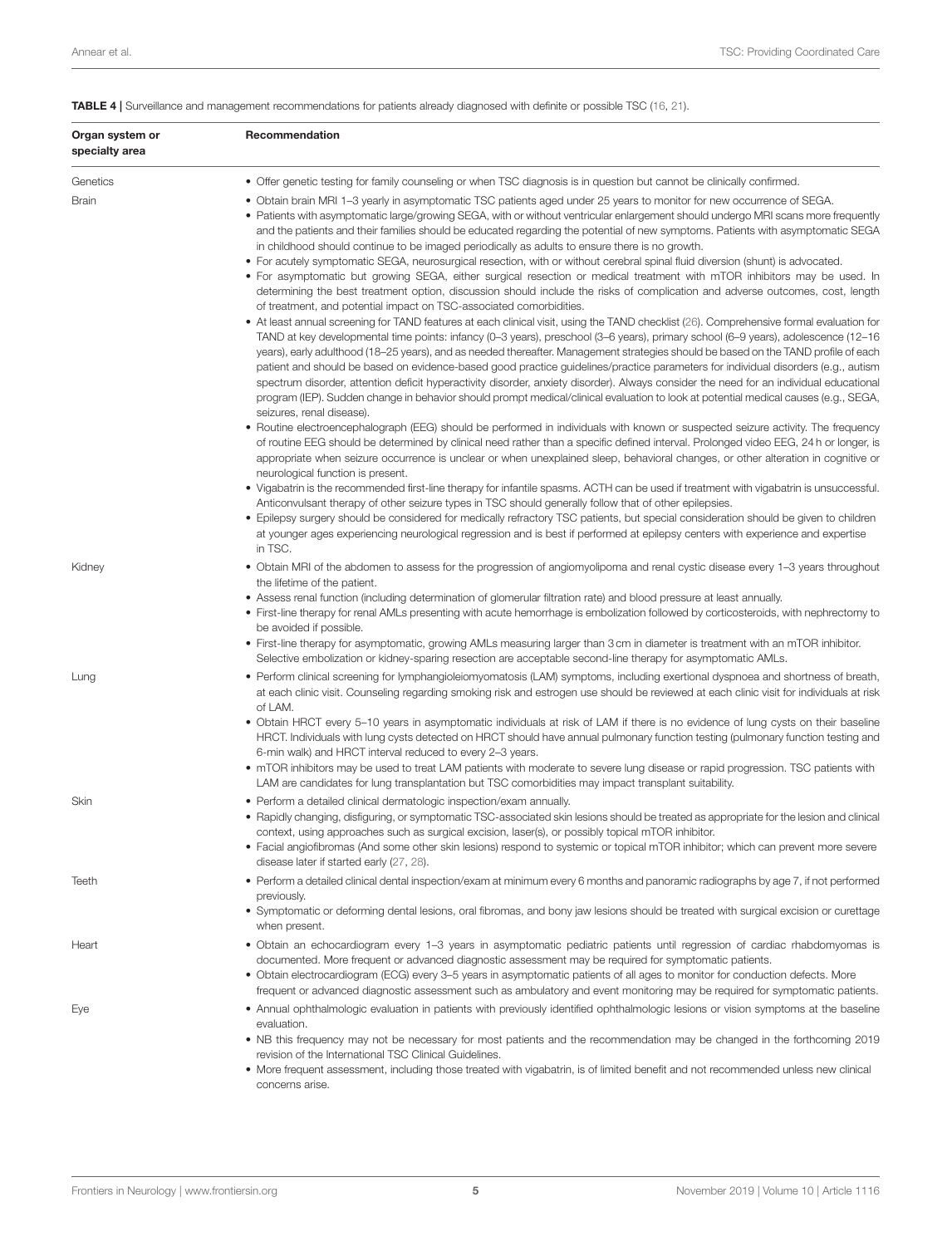<span id="page-4-0"></span>

|  | TABLE 4   Surveillance and management recommendations for patients already diagnosed with definite or possible TSC (16, 21). |  |  |  |  |  |
|--|------------------------------------------------------------------------------------------------------------------------------|--|--|--|--|--|
|--|------------------------------------------------------------------------------------------------------------------------------|--|--|--|--|--|

| Organ system or<br>specialty area | Recommendation                                                                                                                                                                                                                                                                                                                                                                                                                                                                                                                                                                                                                                                                                                                                                                                                                                                         |
|-----------------------------------|------------------------------------------------------------------------------------------------------------------------------------------------------------------------------------------------------------------------------------------------------------------------------------------------------------------------------------------------------------------------------------------------------------------------------------------------------------------------------------------------------------------------------------------------------------------------------------------------------------------------------------------------------------------------------------------------------------------------------------------------------------------------------------------------------------------------------------------------------------------------|
| Genetics                          | • Offer genetic testing for family counseling or when TSC diagnosis is in question but cannot be clinically confirmed.                                                                                                                                                                                                                                                                                                                                                                                                                                                                                                                                                                                                                                                                                                                                                 |
| Brain                             | . Obtain brain MRI 1-3 yearly in asymptomatic TSC patients aged under 25 years to monitor for new occurrence of SEGA.<br>• Patients with asymptomatic large/growing SEGA, with or without ventricular enlargement should undergo MRI scans more frequently<br>and the patients and their families should be educated regarding the potential of new symptoms. Patients with asymptomatic SEGA<br>in childhood should continue to be imaged periodically as adults to ensure there is no growth.<br>• For acutely symptomatic SEGA, neurosurgical resection, with or without cerebral spinal fluid diversion (shunt) is advocated.                                                                                                                                                                                                                                      |
|                                   | • For asymptomatic but growing SEGA, either surgical resection or medical treatment with mTOR inhibitors may be used. In<br>determining the best treatment option, discussion should include the risks of complication and adverse outcomes, cost, length<br>of treatment, and potential impact on TSC-associated comorbidities.                                                                                                                                                                                                                                                                                                                                                                                                                                                                                                                                       |
|                                   | • At least annual screening for TAND features at each clinical visit, using the TAND checklist (26). Comprehensive formal evaluation for<br>TAND at key developmental time points: infancy (0–3 years), preschool (3–6 years), primary school (6–9 years), adolescence (12–16<br>years), early adulthood (18–25 years), and as needed thereafter. Management strategies should be based on the TAND profile of each<br>patient and should be based on evidence-based good practice guidelines/practice parameters for individual disorders (e.g., autism<br>spectrum disorder, attention deficit hyperactivity disorder, anxiety disorder). Always consider the need for an individual educational<br>program (IEP). Sudden change in behavior should prompt medical/clinical evaluation to look at potential medical causes (e.g., SEGA,<br>seizures, renal disease). |
|                                   | • Routine electroencephalograph (EEG) should be performed in individuals with known or suspected seizure activity. The frequency<br>of routine EEG should be determined by clinical need rather than a specific defined interval. Prolonged video EEG, 24 h or longer, is<br>appropriate when seizure occurrence is unclear or when unexplained sleep, behavioral changes, or other alteration in cognitive or<br>neurological function is present.                                                                                                                                                                                                                                                                                                                                                                                                                    |
|                                   | • Vigabatrin is the recommended first-line therapy for infantile spasms. ACTH can be used if treatment with vigabatrin is unsuccessful.<br>Anticonvulsant therapy of other seizure types in TSC should generally follow that of other epilepsies.<br>• Epilepsy surgery should be considered for medically refractory TSC patients, but special consideration should be given to children<br>at younger ages experiencing neurological regression and is best if performed at epilepsy centers with experience and expertise<br>in TSC.                                                                                                                                                                                                                                                                                                                                |
| Kidney                            | • Obtain MRI of the abdomen to assess for the progression of angiomyolipoma and renal cystic disease every 1–3 years throughout<br>the lifetime of the patient.                                                                                                                                                                                                                                                                                                                                                                                                                                                                                                                                                                                                                                                                                                        |
|                                   | • Assess renal function (including determination of glomerular filtration rate) and blood pressure at least annually.<br>• First-line therapy for renal AMLs presenting with acute hemorrhage is embolization followed by corticosteroids, with nephrectomy to<br>be avoided if possible.                                                                                                                                                                                                                                                                                                                                                                                                                                                                                                                                                                              |
|                                   | • First-line therapy for asymptomatic, growing AMLs measuring larger than 3 cm in diameter is treatment with an mTOR inhibitor.<br>Selective embolization or kidney-sparing resection are acceptable second-line therapy for asymptomatic AMLs.                                                                                                                                                                                                                                                                                                                                                                                                                                                                                                                                                                                                                        |
| Lung                              | • Perform clinical screening for lymphangioleiomyomatosis (LAM) symptoms, including exertional dyspnoea and shortness of breath,<br>at each clinic visit. Counseling regarding smoking risk and estrogen use should be reviewed at each clinic visit for individuals at risk<br>of LAM.                                                                                                                                                                                                                                                                                                                                                                                                                                                                                                                                                                                |
|                                   | • Obtain HRCT every 5–10 years in asymptomatic individuals at risk of LAM if there is no evidence of lung cysts on their baseline<br>HRCT. Individuals with lung cysts detected on HRCT should have annual pulmonary function testing (pulmonary function testing and<br>6-min walk) and HRCT interval reduced to every 2-3 years.                                                                                                                                                                                                                                                                                                                                                                                                                                                                                                                                     |
|                                   | • mTOR inhibitors may be used to treat LAM patients with moderate to severe lung disease or rapid progression. TSC patients with<br>LAM are candidates for lung transplantation but TSC comorbidities may impact transplant suitability.                                                                                                                                                                                                                                                                                                                                                                                                                                                                                                                                                                                                                               |
| Skin                              | • Perform a detailed clinical dermatologic inspection/exam annually.<br>• Rapidly changing, disfiguring, or symptomatic TSC-associated skin lesions should be treated as appropriate for the lesion and clinical<br>context, using approaches such as surgical excision, laser(s), or possibly topical mTOR inhibitor.<br>• Facial angiofibromas (And some other skin lesions) respond to systemic or topical mTOR inhibitor; which can prevent more severe<br>disease later if started early (27, 28).                                                                                                                                                                                                                                                                                                                                                                |
| Teeth                             | • Perform a detailed clinical dental inspection/exam at minimum every 6 months and panoramic radiographs by age 7, if not performed<br>previously.<br>• Symptomatic or deforming dental lesions, oral fibromas, and bony jaw lesions should be treated with surgical excision or curettage                                                                                                                                                                                                                                                                                                                                                                                                                                                                                                                                                                             |
| Heart                             | when present.<br>• Obtain an echocardiogram every 1–3 years in asymptomatic pediatric patients until regression of cardiac rhabdomyomas is<br>documented. More frequent or advanced diagnostic assessment may be required for symptomatic patients.<br>• Obtain electrocardiogram (ECG) every 3–5 years in asymptomatic patients of all ages to monitor for conduction defects. More<br>frequent or advanced diagnostic assessment such as ambulatory and event monitoring may be required for symptomatic patients.                                                                                                                                                                                                                                                                                                                                                   |
| Eye                               | • Annual ophthalmologic evaluation in patients with previously identified ophthalmologic lesions or vision symptoms at the baseline<br>evaluation.<br>• NB this frequency may not be necessary for most patients and the recommendation may be changed in the forthcoming 2019                                                                                                                                                                                                                                                                                                                                                                                                                                                                                                                                                                                         |
|                                   | revision of the International TSC Clinical Guidelines.<br>• More frequent assessment, including those treated with vigabatrin, is of limited benefit and not recommended unless new clinical<br>concerns arise.                                                                                                                                                                                                                                                                                                                                                                                                                                                                                                                                                                                                                                                        |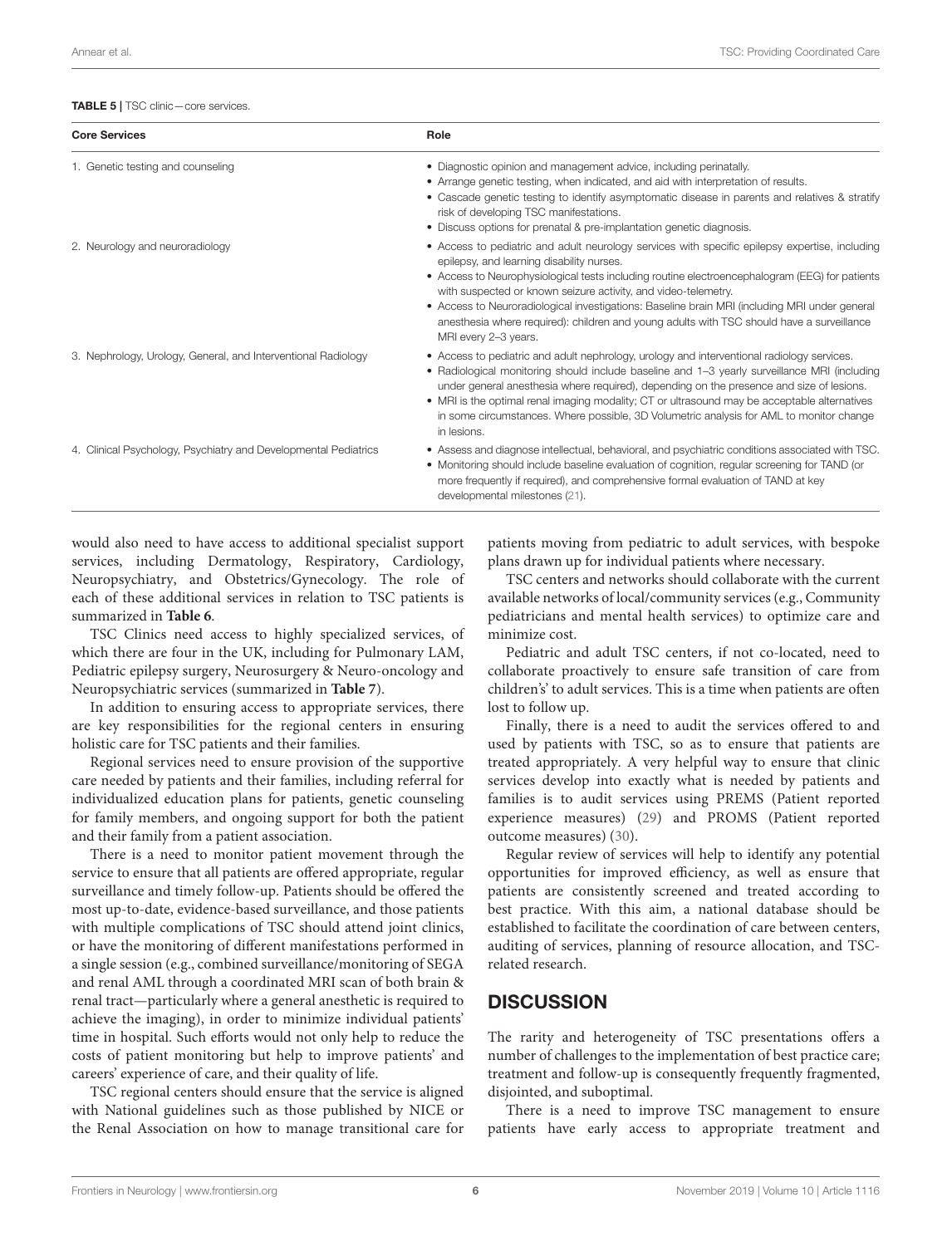#### <span id="page-5-0"></span>TABLE 5 | TSC clinic-core services.

| <b>Core Services</b>                                            | Role                                                                                                                                                                                                                                                                                                                                                                                                                                                                                                                                  |  |
|-----------------------------------------------------------------|---------------------------------------------------------------------------------------------------------------------------------------------------------------------------------------------------------------------------------------------------------------------------------------------------------------------------------------------------------------------------------------------------------------------------------------------------------------------------------------------------------------------------------------|--|
| 1. Genetic testing and counseling                               | • Diagnostic opinion and management advice, including perinatally.<br>• Arrange genetic testing, when indicated, and aid with interpretation of results.<br>• Cascade genetic testing to identify asymptomatic disease in parents and relatives & stratify<br>risk of developing TSC manifestations.<br>• Discuss options for prenatal & pre-implantation genetic diagnosis.                                                                                                                                                          |  |
| 2. Neurology and neuroradiology                                 | • Access to pediatric and adult neurology services with specific epilepsy expertise, including<br>epilepsy, and learning disability nurses.<br>• Access to Neurophysiological tests including routine electroencephalogram (EEG) for patients<br>with suspected or known seizure activity, and video-telemetry.<br>• Access to Neuroradiological investigations: Baseline brain MRI (including MRI under general<br>anesthesia where required): children and young adults with TSC should have a surveillance<br>MRI every 2-3 years. |  |
| 3. Nephrology, Urology, General, and Interventional Radiology   | • Access to pediatric and adult nephrology, urology and interventional radiology services.<br>• Radiological monitoring should include baseline and 1-3 yearly surveillance MRI (including<br>under general anesthesia where required), depending on the presence and size of lesions.<br>• MRI is the optimal renal imaging modality; CT or ultrasound may be acceptable alternatives<br>in some circumstances. Where possible, 3D Volumetric analysis for AML to monitor change<br>in lesions.                                      |  |
| 4. Clinical Psychology, Psychiatry and Developmental Pediatrics | • Assess and diagnose intellectual, behavioral, and psychiatric conditions associated with TSC.<br>• Monitoring should include baseline evaluation of cognition, regular screening for TAND (or<br>more frequently if required), and comprehensive formal evaluation of TAND at key<br>developmental milestones (21).                                                                                                                                                                                                                 |  |

would also need to have access to additional specialist support services, including Dermatology, Respiratory, Cardiology, Neuropsychiatry, and Obstetrics/Gynecology. The role of each of these additional services in relation to TSC patients is summarized in **[Table 6](#page-6-0)**.

TSC Clinics need access to highly specialized services, of which there are four in the UK, including for Pulmonary LAM, Pediatric epilepsy surgery, Neurosurgery & Neuro-oncology and Neuropsychiatric services (summarized in **[Table 7](#page-6-1)**).

In addition to ensuring access to appropriate services, there are key responsibilities for the regional centers in ensuring holistic care for TSC patients and their families.

Regional services need to ensure provision of the supportive care needed by patients and their families, including referral for individualized education plans for patients, genetic counseling for family members, and ongoing support for both the patient and their family from a patient association.

There is a need to monitor patient movement through the service to ensure that all patients are offered appropriate, regular surveillance and timely follow-up. Patients should be offered the most up-to-date, evidence-based surveillance, and those patients with multiple complications of TSC should attend joint clinics, or have the monitoring of different manifestations performed in a single session (e.g., combined surveillance/monitoring of SEGA and renal AML through a coordinated MRI scan of both brain & renal tract—particularly where a general anesthetic is required to achieve the imaging), in order to minimize individual patients' time in hospital. Such efforts would not only help to reduce the costs of patient monitoring but help to improve patients' and careers' experience of care, and their quality of life.

TSC regional centers should ensure that the service is aligned with National guidelines such as those published by NICE or the Renal Association on how to manage transitional care for patients moving from pediatric to adult services, with bespoke plans drawn up for individual patients where necessary.

TSC centers and networks should collaborate with the current available networks of local/community services (e.g., Community pediatricians and mental health services) to optimize care and minimize cost.

Pediatric and adult TSC centers, if not co-located, need to collaborate proactively to ensure safe transition of care from children's' to adult services. This is a time when patients are often lost to follow up.

Finally, there is a need to audit the services offered to and used by patients with TSC, so as to ensure that patients are treated appropriately. A very helpful way to ensure that clinic services develop into exactly what is needed by patients and families is to audit services using PREMS (Patient reported experience measures) [\(29\)](#page-8-5) and PROMS (Patient reported outcome measures) [\(30\)](#page-8-6).

Regular review of services will help to identify any potential opportunities for improved efficiency, as well as ensure that patients are consistently screened and treated according to best practice. With this aim, a national database should be established to facilitate the coordination of care between centers, auditing of services, planning of resource allocation, and TSCrelated research.

### **DISCUSSION**

The rarity and heterogeneity of TSC presentations offers a number of challenges to the implementation of best practice care; treatment and follow-up is consequently frequently fragmented, disjointed, and suboptimal.

There is a need to improve TSC management to ensure patients have early access to appropriate treatment and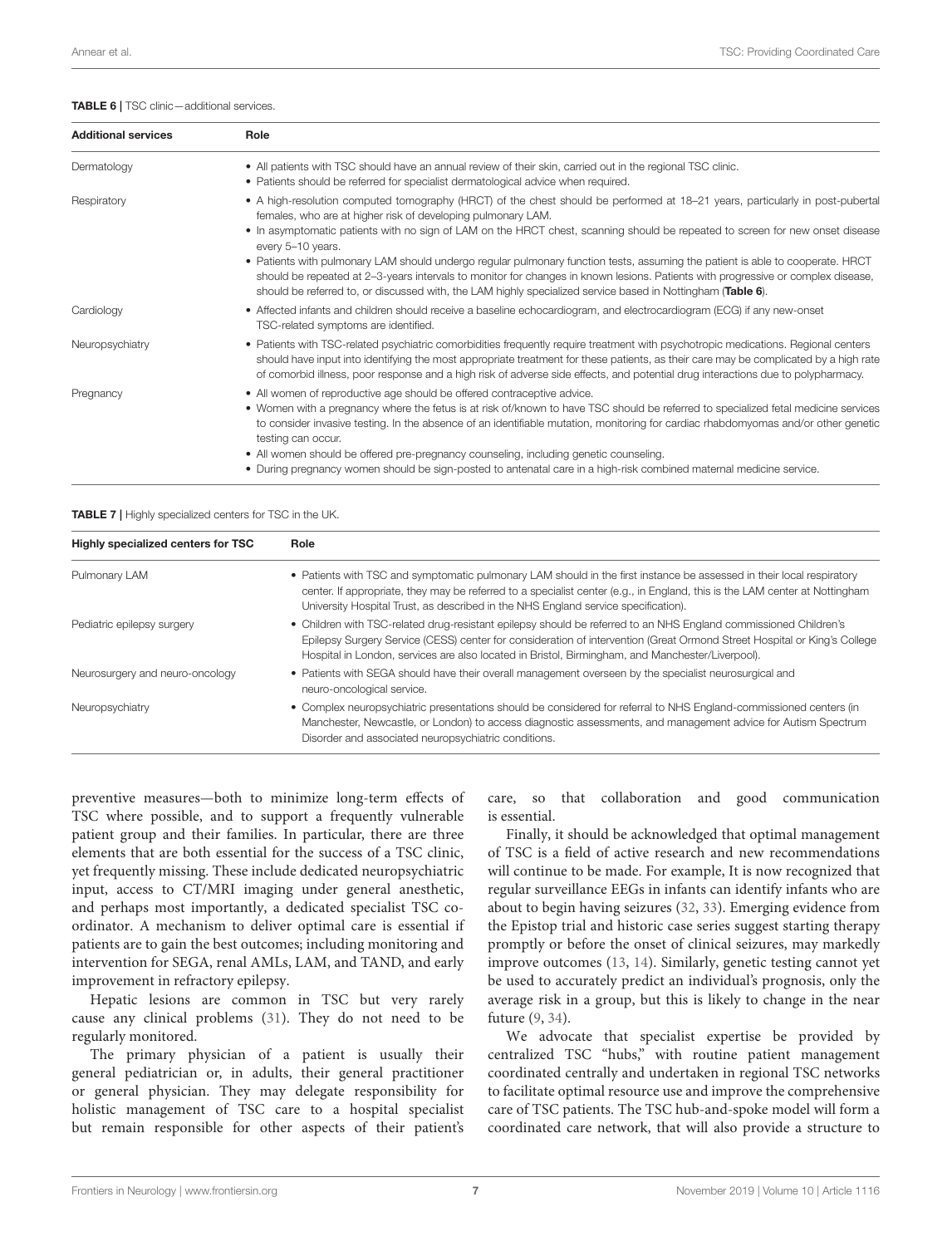<span id="page-6-0"></span>TABLE 6 | TSC clinic-additional services.

| <b>Additional services</b> | Role                                                                                                                                                                                                                                                                                                                                                                                                                                                                                                                                                                                      |
|----------------------------|-------------------------------------------------------------------------------------------------------------------------------------------------------------------------------------------------------------------------------------------------------------------------------------------------------------------------------------------------------------------------------------------------------------------------------------------------------------------------------------------------------------------------------------------------------------------------------------------|
| Dermatology                | • All patients with TSC should have an annual review of their skin, carried out in the regional TSC clinic.<br>• Patients should be referred for specialist dermatological advice when required.                                                                                                                                                                                                                                                                                                                                                                                          |
| Respiratory                | • A high-resolution computed tomography (HRCT) of the chest should be performed at 18–21 years, particularly in post-pubertal<br>females, who are at higher risk of developing pulmonary LAM.<br>• In asymptomatic patients with no sign of LAM on the HRCT chest, scanning should be repeated to screen for new onset disease<br>every 5-10 years.<br>• Patients with pulmonary LAM should undergo regular pulmonary function tests, assuming the patient is able to cooperate. HRCT                                                                                                     |
|                            | should be repeated at 2-3-years intervals to monitor for changes in known lesions. Patients with progressive or complex disease,<br>should be referred to, or discussed with, the LAM highly specialized service based in Nottingham (Table 6).                                                                                                                                                                                                                                                                                                                                           |
| Cardiology                 | • Affected infants and children should receive a baseline echocardiogram, and electrocardiogram (ECG) if any new-onset<br>TSC-related symptoms are identified.                                                                                                                                                                                                                                                                                                                                                                                                                            |
| Neuropsychiatry            | • Patients with TSC-related psychiatric comorbidities frequently require treatment with psychotropic medications. Regional centers<br>should have input into identifying the most appropriate treatment for these patients, as their care may be complicated by a high rate<br>of comorbid illness, poor response and a high risk of adverse side effects, and potential drug interactions due to polypharmacy.                                                                                                                                                                           |
| Pregnancy                  | • All women of reproductive age should be offered contraceptive advice.<br>• Women with a pregnancy where the fetus is at risk of/known to have TSC should be referred to specialized fetal medicine services<br>to consider invasive testing. In the absence of an identifiable mutation, monitoring for cardiac rhabdomyomas and/or other genetic<br>testing can occur.<br>• All women should be offered pre-pregnancy counseling, including genetic counseling.<br>• During pregnancy women should be sign-posted to antenatal care in a high-risk combined maternal medicine service. |

<span id="page-6-1"></span>TABLE 7 | Highly specialized centers for TSC in the UK.

| Highly specialized centers for TSC | Role                                                                                                                                                                                                                                                                                                                                             |  |  |
|------------------------------------|--------------------------------------------------------------------------------------------------------------------------------------------------------------------------------------------------------------------------------------------------------------------------------------------------------------------------------------------------|--|--|
| Pulmonary LAM                      | • Patients with TSC and symptomatic pulmonary LAM should in the first instance be assessed in their local respiratory<br>center. If appropriate, they may be referred to a specialist center (e.g., in England, this is the LAM center at Nottingham<br>University Hospital Trust, as described in the NHS England service specification).       |  |  |
| Pediatric epilepsy surgery         | • Children with TSC-related drug-resistant epilepsy should be referred to an NHS England commissioned Children's<br>Epilepsy Surgery Service (CESS) center for consideration of intervention (Great Ormond Street Hospital or King's College<br>Hospital in London, services are also located in Bristol, Birmingham, and Manchester/Liverpool). |  |  |
| Neurosurgery and neuro-oncology    | • Patients with SEGA should have their overall management overseen by the specialist neurosurgical and<br>neuro-oncological service.                                                                                                                                                                                                             |  |  |
| Neuropsychiatry                    | • Complex neuropsychiatric presentations should be considered for referral to NHS England-commissioned centers (in<br>Manchester, Newcastle, or London) to access diagnostic assessments, and management advice for Autism Spectrum<br>Disorder and associated neuropsychiatric conditions.                                                      |  |  |

preventive measures—both to minimize long-term effects of TSC where possible, and to support a frequently vulnerable patient group and their families. In particular, there are three elements that are both essential for the success of a TSC clinic, yet frequently missing. These include dedicated neuropsychiatric input, access to CT/MRI imaging under general anesthetic, and perhaps most importantly, a dedicated specialist TSC coordinator. A mechanism to deliver optimal care is essential if patients are to gain the best outcomes; including monitoring and intervention for SEGA, renal AMLs, LAM, and TAND, and early improvement in refractory epilepsy.

Hepatic lesions are common in TSC but very rarely cause any clinical problems [\(31\)](#page-8-7). They do not need to be regularly monitored.

The primary physician of a patient is usually their general pediatrician or, in adults, their general practitioner or general physician. They may delegate responsibility for holistic management of TSC care to a hospital specialist but remain responsible for other aspects of their patient's

care, so that collaboration and good communication is essential.

Finally, it should be acknowledged that optimal management of TSC is a field of active research and new recommendations will continue to be made. For example, It is now recognized that regular surveillance EEGs in infants can identify infants who are about to begin having seizures [\(32,](#page-8-8) [33\)](#page-8-9). Emerging evidence from the Epistop trial and historic case series suggest starting therapy promptly or before the onset of clinical seizures, may markedly improve outcomes [\(13,](#page-7-10) [14\)](#page-7-17). Similarly, genetic testing cannot yet be used to accurately predict an individual's prognosis, only the average risk in a group, but this is likely to change in the near future [\(9,](#page-7-5) [34\)](#page-8-10).

We advocate that specialist expertise be provided by centralized TSC "hubs," with routine patient management coordinated centrally and undertaken in regional TSC networks to facilitate optimal resource use and improve the comprehensive care of TSC patients. The TSC hub-and-spoke model will form a coordinated care network, that will also provide a structure to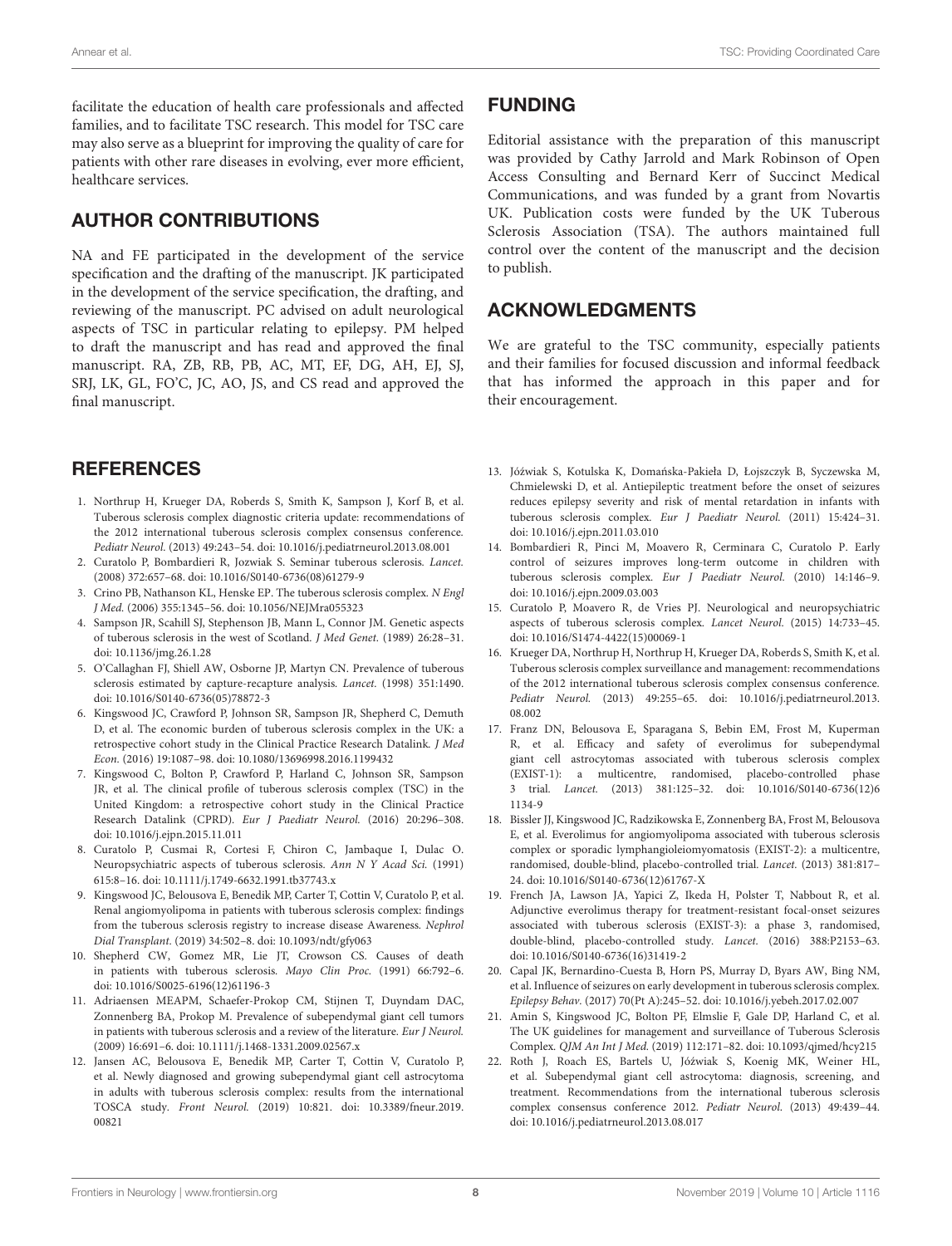facilitate the education of health care professionals and affected families, and to facilitate TSC research. This model for TSC care may also serve as a blueprint for improving the quality of care for patients with other rare diseases in evolving, ever more efficient, healthcare services.

## AUTHOR CONTRIBUTIONS

NA and FE participated in the development of the service specification and the drafting of the manuscript. JK participated in the development of the service specification, the drafting, and reviewing of the manuscript. PC advised on adult neurological aspects of TSC in particular relating to epilepsy. PM helped to draft the manuscript and has read and approved the final manuscript. RA, ZB, RB, PB, AC, MT, EF, DG, AH, EJ, SJ, SRJ, LK, GL, FO'C, JC, AO, JS, and CS read and approved the final manuscript.

## **REFERENCES**

- <span id="page-7-0"></span>1. Northrup H, Krueger DA, Roberds S, Smith K, Sampson J, Korf B, et al. Tuberous sclerosis complex diagnostic criteria update: recommendations of the 2012 international tuberous sclerosis complex consensus conference. Pediatr Neurol. (2013) 49:243–54. doi: [10.1016/j.pediatrneurol.2013.08.001](https://doi.org/10.1016/j.pediatrneurol.2013.08.001)
- 2. Curatolo P, Bombardieri R, Jozwiak S. Seminar tuberous sclerosis. Lancet. (2008) 372:657–68. doi: [10.1016/S0140-6736\(08\)61279-9](https://doi.org/10.1016/S0140-6736(08)61279-9)
- <span id="page-7-1"></span>3. Crino PB, Nathanson KL, Henske EP. The tuberous sclerosis complex. N Engl J Med. (2006) 355:1345–56. doi: [10.1056/NEJMra055323](https://doi.org/10.1056/NEJMra055323)
- <span id="page-7-2"></span>4. Sampson JR, Scahill SJ, Stephenson JB, Mann L, Connor JM. Genetic aspects of tuberous sclerosis in the west of Scotland. J Med Genet. (1989) 26:28–31. doi: [10.1136/jmg.26.1.28](https://doi.org/10.1136/jmg.26.1.28)
- 5. O'Callaghan FJ, Shiell AW, Osborne JP, Martyn CN. Prevalence of tuberous sclerosis estimated by capture-recapture analysis. Lancet. (1998) 351:1490. doi: [10.1016/S0140-6736\(05\)78872-3](https://doi.org/10.1016/S0140-6736(05)78872-3)
- <span id="page-7-3"></span>6. Kingswood JC, Crawford P, Johnson SR, Sampson JR, Shepherd C, Demuth D, et al. The economic burden of tuberous sclerosis complex in the UK: a retrospective cohort study in the Clinical Practice Research Datalink. J Med Econ. (2016) 19:1087–98. doi: [10.1080/13696998.2016.1199432](https://doi.org/10.1080/13696998.2016.1199432)
- <span id="page-7-9"></span>7. Kingswood C, Bolton P, Crawford P, Harland C, Johnson SR, Sampson JR, et al. The clinical profile of tuberous sclerosis complex (TSC) in the United Kingdom: a retrospective cohort study in the Clinical Practice Research Datalink (CPRD). Eur J Paediatr Neurol. (2016) 20:296–308. doi: [10.1016/j.ejpn.2015.11.011](https://doi.org/10.1016/j.ejpn.2015.11.011)
- <span id="page-7-4"></span>8. Curatolo P, Cusmai R, Cortesi F, Chiron C, Jambaque I, Dulac O. Neuropsychiatric aspects of tuberous sclerosis. Ann N Y Acad Sci. (1991) 615:8–16. doi: [10.1111/j.1749-6632.1991.tb37743.x](https://doi.org/10.1111/j.1749-6632.1991.tb37743.x)
- <span id="page-7-5"></span>9. Kingswood JC, Belousova E, Benedik MP, Carter T, Cottin V, Curatolo P, et al. Renal angiomyolipoma in patients with tuberous sclerosis complex: findings from the tuberous sclerosis registry to increase disease Awareness. Nephrol Dial Transplant. (2019) 34:502–8. doi: [10.1093/ndt/gfy063](https://doi.org/10.1093/ndt/gfy063)
- <span id="page-7-6"></span>10. Shepherd CW, Gomez MR, Lie JT, Crowson CS. Causes of death in patients with tuberous sclerosis. Mayo Clin Proc. (1991) 66:792–6. doi: [10.1016/S0025-6196\(12\)61196-3](https://doi.org/10.1016/S0025-6196(12)61196-3)
- <span id="page-7-7"></span>11. Adriaensen MEAPM, Schaefer-Prokop CM, Stijnen T, Duyndam DAC, Zonnenberg BA, Prokop M. Prevalence of subependymal giant cell tumors in patients with tuberous sclerosis and a review of the literature. Eur J Neurol. (2009) 16:691–6. doi: [10.1111/j.1468-1331.2009.02567.x](https://doi.org/10.1111/j.1468-1331.2009.02567.x)
- <span id="page-7-8"></span>12. Jansen AC, Belousova E, Benedik MP, Carter T, Cottin V, Curatolo P, et al. Newly diagnosed and growing subependymal giant cell astrocytoma in adults with tuberous sclerosis complex: results from the international TOSCA study. Front Neurol. [\(2019\) 10:821. doi: 10.3389/fneur.2019.](https://doi.org/10.3389/fneur.2019.00821) 00821

## FUNDING

Editorial assistance with the preparation of this manuscript was provided by Cathy Jarrold and Mark Robinson of Open Access Consulting and Bernard Kerr of Succinct Medical Communications, and was funded by a grant from Novartis UK. Publication costs were funded by the UK Tuberous Sclerosis Association (TSA). The authors maintained full control over the content of the manuscript and the decision to publish.

## ACKNOWLEDGMENTS

We are grateful to the TSC community, especially patients and their families for focused discussion and informal feedback that has informed the approach in this paper and for their encouragement.

- <span id="page-7-10"></span>13. Jóźwiak S, Kotulska K, Domańska-Pakieła D, Łojszczyk B, Syczewska M, Chmielewski D, et al. Antiepileptic treatment before the onset of seizures reduces epilepsy severity and risk of mental retardation in infants with tuberous sclerosis complex. Eur J Paediatr Neurol. (2011) 15:424–31. doi: [10.1016/j.ejpn.2011.03.010](https://doi.org/10.1016/j.ejpn.2011.03.010)
- <span id="page-7-17"></span>14. Bombardieri R, Pinci M, Moavero R, Cerminara C, Curatolo P. Early control of seizures improves long-term outcome in children with tuberous sclerosis complex. Eur J Paediatr Neurol. (2010) 14:146–9. doi: [10.1016/j.ejpn.2009.03.003](https://doi.org/10.1016/j.ejpn.2009.03.003)
- <span id="page-7-11"></span>15. Curatolo P, Moavero R, de Vries PJ. Neurological and neuropsychiatric aspects of tuberous sclerosis complex. Lancet Neurol. (2015) 14:733–45. doi: [10.1016/S1474-4422\(15\)00069-1](https://doi.org/10.1016/S1474-4422(15)00069-1)
- <span id="page-7-12"></span>16. Krueger DA, Northrup H, Northrup H, Krueger DA, Roberds S, Smith K, et al. Tuberous sclerosis complex surveillance and management: recommendations of the 2012 international tuberous sclerosis complex consensus conference. Pediatr Neurol. [\(2013\) 49:255–65. doi: 10.1016/j.pediatrneurol.2013.](https://doi.org/10.1016/j.pediatrneurol.2013.08.002) 08.002
- <span id="page-7-13"></span>17. Franz DN, Belousova E, Sparagana S, Bebin EM, Frost M, Kuperman R, et al. Efficacy and safety of everolimus for subependymal giant cell astrocytomas associated with tuberous sclerosis complex (EXIST-1): a multicentre, randomised, placebo-controlled phase 3 trial. Lancet. [\(2013\) 381:125–32. doi: 10.1016/S0140-6736\(12\)6](https://doi.org/10.1016/S0140-6736(12)61134-9) 1134-9
- <span id="page-7-15"></span>18. Bissler JJ, Kingswood JC, Radzikowska E, Zonnenberg BA, Frost M, Belousova E, et al. Everolimus for angiomyolipoma associated with tuberous sclerosis complex or sporadic lymphangioleiomyomatosis (EXIST-2): a multicentre, randomised, double-blind, placebo-controlled trial. Lancet. (2013) 381:817– 24. doi: [10.1016/S0140-6736\(12\)61767-X](https://doi.org/10.1016/S0140-6736(12)61767-X)
- <span id="page-7-14"></span>19. French JA, Lawson JA, Yapici Z, Ikeda H, Polster T, Nabbout R, et al. Adjunctive everolimus therapy for treatment-resistant focal-onset seizures associated with tuberous sclerosis (EXIST-3): a phase 3, randomised, double-blind, placebo-controlled study. Lancet. (2016) 388:P2153–63. doi: [10.1016/S0140-6736\(16\)31419-2](https://doi.org/10.1016/S0140-6736(16)31419-2)
- <span id="page-7-16"></span>20. Capal JK, Bernardino-Cuesta B, Horn PS, Murray D, Byars AW, Bing NM, et al. Influence of seizures on early development in tuberous sclerosis complex. Epilepsy Behav. (2017) 70(Pt A):245–52. doi: [10.1016/j.yebeh.2017.02.007](https://doi.org/10.1016/j.yebeh.2017.02.007)
- <span id="page-7-18"></span>21. Amin S, Kingswood JC, Bolton PF, Elmslie F, Gale DP, Harland C, et al. The UK guidelines for management and surveillance of Tuberous Sclerosis Complex. QJM An Int J Med. (2019) 112:171–82. doi: [10.1093/qjmed/hcy215](https://doi.org/10.1093/qjmed/hcy215)
- <span id="page-7-19"></span>22. Roth J, Roach ES, Bartels U, Józwiak S, Koenig MK, Weiner HL, ´ et al. Subependymal giant cell astrocytoma: diagnosis, screening, and treatment. Recommendations from the international tuberous sclerosis complex consensus conference 2012. Pediatr Neurol. (2013) 49:439–44. doi: [10.1016/j.pediatrneurol.2013.08.017](https://doi.org/10.1016/j.pediatrneurol.2013.08.017)